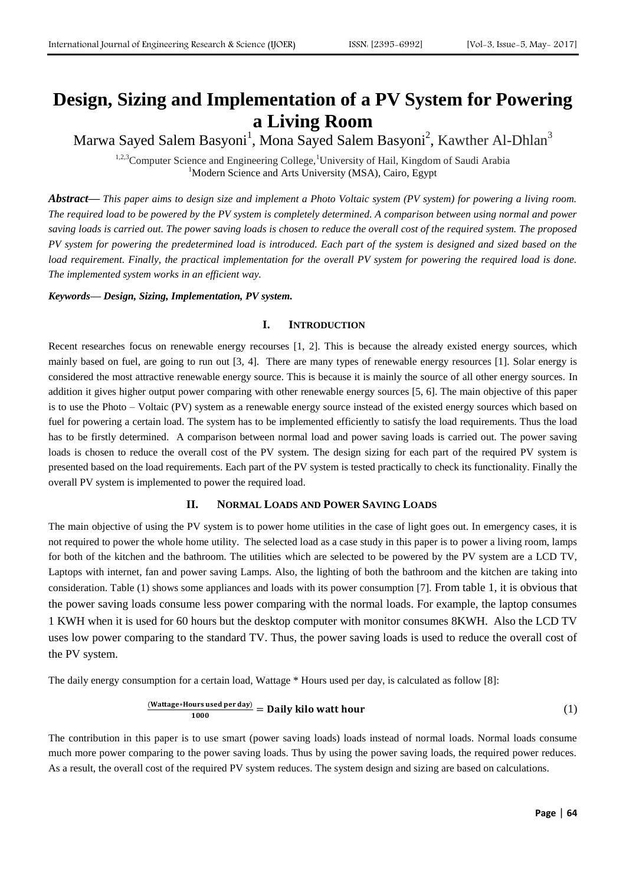# **Design, Sizing and Implementation of a PV System for Powering a Living Room**

Marwa Sayed Salem Basyoni<sup>1</sup>, Mona Sayed Salem Basyoni<sup>2</sup>, Kawther Al-Dhlan<sup>3</sup>

<sup>1,2,3</sup>Computer Science and Engineering College,<sup>1</sup>University of Hail, Kingdom of Saudi Arabia <sup>1</sup>Modern Science and Arts University (MSA), Cairo, Egypt

*Abstract***—** *This paper aims to design size and implement a Photo Voltaic system (PV system) for powering a living room. The required load to be powered by the PV system is completely determined. A comparison between using normal and power saving loads is carried out. The power saving loads is chosen to reduce the overall cost of the required system. The proposed PV system for powering the predetermined load is introduced. Each part of the system is designed and sized based on the*  load requirement. Finally, the practical implementation for the overall PV system for powering the required load is done. *The implemented system works in an efficient way.*

### *Keywords— Design, Sizing, Implementation, PV system.*

#### **I. INTRODUCTION**

Recent researches focus on renewable energy recourses [1, 2]. This is because the already existed energy sources, which mainly based on fuel, are going to run out [3, 4]. There are many types of renewable energy resources [1]. Solar energy is considered the most attractive renewable energy source. This is because it is mainly the source of all other energy sources. In addition it gives higher output power comparing with other renewable energy sources [5, 6]. The main objective of this paper is to use the Photo – Voltaic (PV) system as a renewable energy source instead of the existed energy sources which based on fuel for powering a certain load. The system has to be implemented efficiently to satisfy the load requirements. Thus the load has to be firstly determined. A comparison between normal load and power saving loads is carried out. The power saving loads is chosen to reduce the overall cost of the PV system. The design sizing for each part of the required PV system is presented based on the load requirements. Each part of the PV system is tested practically to check its functionality. Finally the overall PV system is implemented to power the required load.

## **II. NORMAL LOADS AND POWER SAVING LOADS**

The main objective of using the PV system is to power home utilities in the case of light goes out. In emergency cases, it is not required to power the whole home utility. The selected load as a case study in this paper is to power a living room, lamps for both of the kitchen and the bathroom. The utilities which are selected to be powered by the PV system are a LCD TV, Laptops with internet, fan and power saving Lamps. Also, the lighting of both the bathroom and the kitchen are taking into consideration. Table (1) shows some appliances and loads with its power consumption [7]. From table 1, it is obvious that the power saving loads consume less power comparing with the normal loads. For example, the laptop consumes 1 KWH when it is used for 60 hours but the desktop computer with monitor consumes 8KWH. Also the LCD TV uses low power comparing to the standard TV. Thus, the power saving loads is used to reduce the overall cost of the PV system.

The daily energy consumption for a certain load, Wattage \* Hours used per day, is calculated as follow [8]:

$$
\frac{\text{(Wattage*House user day)}}{1000} = \text{Daily kilo Watt hour} \tag{1}
$$

The contribution in this paper is to use smart (power saving loads) loads instead of normal loads. Normal loads consume much more power comparing to the power saving loads. Thus by using the power saving loads, the required power reduces. As a result, the overall cost of the required PV system reduces. The system design and sizing are based on calculations.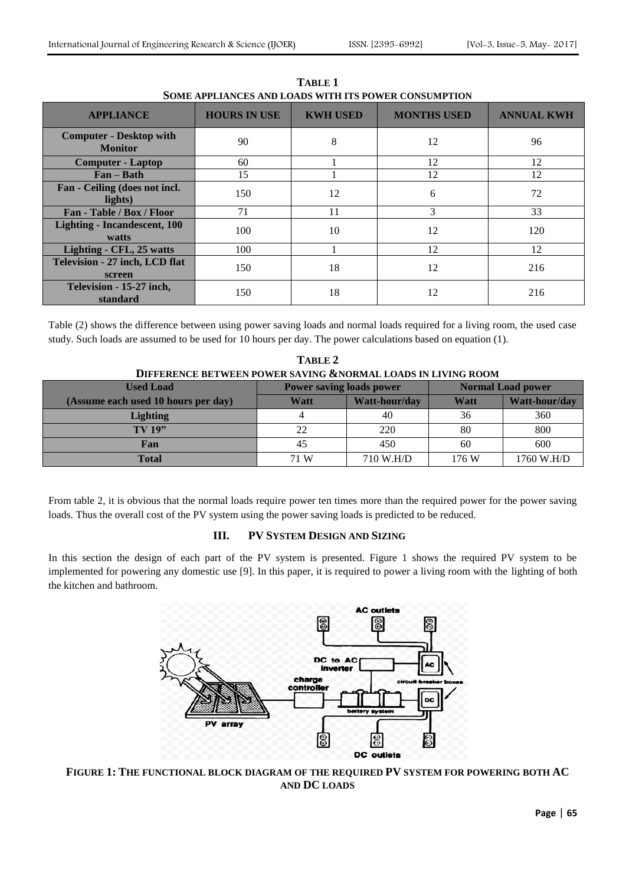| DOME ALL EIARCED ARD EOADD WITH HD I O WEN CORDOMI TIOR |                     |                 |                    |                   |  |  |  |  |
|---------------------------------------------------------|---------------------|-----------------|--------------------|-------------------|--|--|--|--|
| <b>APPLIANCE</b>                                        | <b>HOURS IN USE</b> | <b>KWH USED</b> | <b>MONTHS USED</b> | <b>ANNUAL KWH</b> |  |  |  |  |
| <b>Computer - Desktop with</b><br><b>Monitor</b>        | 90                  | 8               | 12                 | 96                |  |  |  |  |
| <b>Computer - Laptop</b>                                | 60                  |                 | 12                 | 12                |  |  |  |  |
| $Fan - Bath$                                            | 15                  |                 | 12                 | 12                |  |  |  |  |
| Fan - Ceiling (does not incl.<br>lights)                | 150                 | 12              | 6                  | 72                |  |  |  |  |
| Fan - Table / Box / Floor                               | 71                  | 11              | 3                  | 33                |  |  |  |  |
| <b>Lighting - Incandescent, 100</b><br>watts            | 100                 | 10              | 12                 | 120               |  |  |  |  |
| Lighting - CFL, 25 watts                                | 100                 |                 | 12                 | 12                |  |  |  |  |
| Television - 27 inch, LCD flat<br>screen                | 150                 | 18              | 12                 | 216               |  |  |  |  |
| Television - 15-27 inch,<br>standard                    | 150                 | 18              | 12                 | 216               |  |  |  |  |

**TABLE 1 SOME APPLIANCES AND LOADS WITH ITS POWER CONSUMPTION**

Table (2) shows the difference between using power saving loads and normal loads required for a living room, the used case study. Such loads are assumed to be used for 10 hours per day. The power calculations based on equation (1).

| TABLE 2                                                      |                                 |               |                          |               |  |  |  |
|--------------------------------------------------------------|---------------------------------|---------------|--------------------------|---------------|--|--|--|
| DIFFERENCE BETWEEN POWER SAVING &NORMAL LOADS IN LIVING ROOM |                                 |               |                          |               |  |  |  |
| <b>Used Load</b>                                             | <b>Power saving loads power</b> |               | <b>Normal Load power</b> |               |  |  |  |
| (Assume each used 10 hours per day)                          | Watt                            | Watt-hour/day | Watt                     | Watt-hour/day |  |  |  |
| <b>Lighting</b>                                              |                                 | 40            | 36                       | 360           |  |  |  |
| <b>TV 19"</b>                                                | 22                              | 220           | 80                       | 800           |  |  |  |
| Fan                                                          | 45                              | 450           | 60                       | 600           |  |  |  |
| <b>Total</b>                                                 | 71 W                            | 710 W.H/D     | 176 W                    | 1760 W.H/D    |  |  |  |

From table 2, it is obvious that the normal loads require power ten times more than the required power for the power saving loads. Thus the overall cost of the PV system using the power saving loads is predicted to be reduced.

## **III. PV SYSTEM DESIGN AND SIZING**

In this section the design of each part of the PV system is presented. Figure 1 shows the required PV system to be implemented for powering any domestic use [9]. In this paper, it is required to power a living room with the lighting of both the kitchen and bathroom.



**FIGURE 1: THE FUNCTIONAL BLOCK DIAGRAM OF THE REQUIRED PV SYSTEM FOR POWERING BOTH AC AND DC LOADS**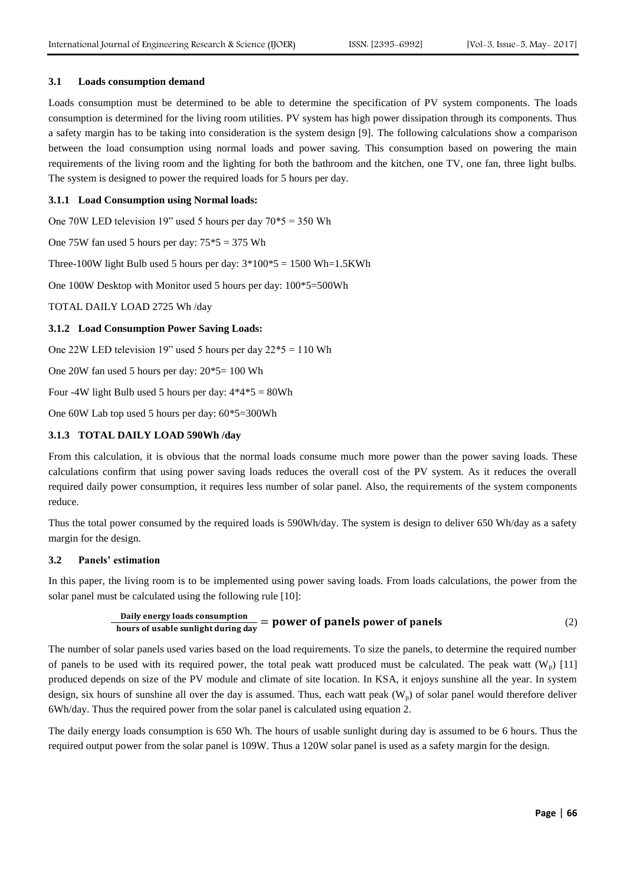## **3.1 Loads consumption demand**

Loads consumption must be determined to be able to determine the specification of PV system components. The loads consumption is determined for the living room utilities. PV system has high power dissipation through its components. Thus a safety margin has to be taking into consideration is the system design [9]. The following calculations show a comparison between the load consumption using normal loads and power saving. This consumption based on powering the main requirements of the living room and the lighting for both the bathroom and the kitchen, one TV, one fan, three light bulbs. The system is designed to power the required loads for 5 hours per day.

## **3.1.1 Load Consumption using Normal loads:**

One 70W LED television 19" used 5 hours per day 70\*5 = 350 Wh

One 75W fan used 5 hours per day:  $75*5 = 375$  Wh

Three-100W light Bulb used 5 hours per day:  $3*100*5 = 1500$  Wh=1.5KWh

One 100W Desktop with Monitor used 5 hours per day: 100\*5=500Wh

TOTAL DAILY LOAD 2725 Wh /day

#### **3.1.2 Load Consumption Power Saving Loads:**

One 22W LED television 19" used 5 hours per day 22\*5 = 110 Wh

One 20W fan used 5 hours per day: 20\*5= 100 Wh

Four -4W light Bulb used 5 hours per day:  $4*4*5 = 80Wh$ 

One 60W Lab top used 5 hours per day: 60\*5=300Wh

#### **3.1.3 TOTAL DAILY LOAD 590Wh /day**

From this calculation, it is obvious that the normal loads consume much more power than the power saving loads. These calculations confirm that using power saving loads reduces the overall cost of the PV system. As it reduces the overall required daily power consumption, it requires less number of solar panel. Also, the requirements of the system components reduce.

Thus the total power consumed by the required loads is 590Wh/day. The system is design to deliver 650 Wh/day as a safety margin for the design.

## **3.2 Panels' estimation**

In this paper, the living room is to be implemented using power saving loads. From loads calculations, the power from the solar panel must be calculated using the following rule [10]:

Daily energy loads consumption  
hours of usable sunlight during day = power of panels power of panels\n
$$
(2)
$$

The number of solar panels used varies based on the load requirements. To size the panels, to determine the required number of panels to be used with its required power, the total peak watt produced must be calculated. The peak watt  $(W_n)$  [11] produced depends on size of the PV module and climate of site location. In KSA, it enjoys sunshine all the year. In system design, six hours of sunshine all over the day is assumed. Thus, each watt peak  $(W_p)$  of solar panel would therefore deliver 6Wh/day. Thus the required power from the solar panel is calculated using equation 2.

The daily energy loads consumption is 650 Wh. The hours of usable sunlight during day is assumed to be 6 hours. Thus the required output power from the solar panel is 109W. Thus a 120W solar panel is used as a safety margin for the design.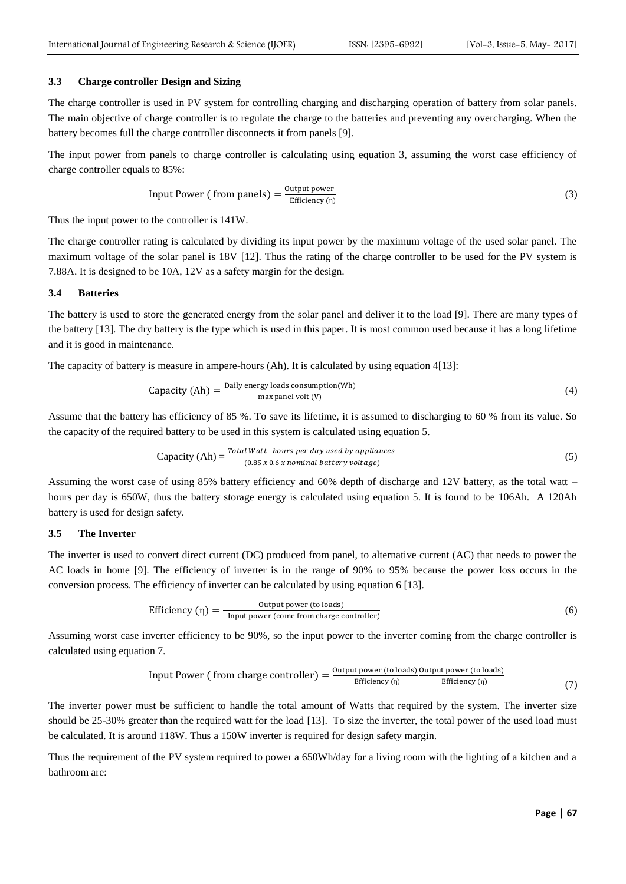### **3.3 Charge controller Design and Sizing**

The charge controller is used in PV system for controlling charging and discharging operation of battery from solar panels. The main objective of charge controller is to regulate the charge to the batteries and preventing any overcharging. When the battery becomes full the charge controller disconnects it from panels [9].

The input power from panels to charge controller is calculating using equation 3, assuming the worst case efficiency of charge controller equals to 85%:

Input Power (from panels) = 
$$
\frac{Output_{power}}{Efficiency(\eta)}
$$
 (3)

Thus the input power to the controller is 141W.

The charge controller rating is calculated by dividing its input power by the maximum voltage of the used solar panel. The maximum voltage of the solar panel is 18V [12]. Thus the rating of the charge controller to be used for the PV system is 7.88A. It is designed to be 10A, 12V as a safety margin for the design.

## **3.4 Batteries**

The battery is used to store the generated energy from the solar panel and deliver it to the load [9]. There are many types of the battery [13]. The dry battery is the type which is used in this paper. It is most common used because it has a long lifetime and it is good in maintenance.

The capacity of battery is measure in ampere-hours (Ah). It is calculated by using equation 4[13]:

Capacity (Ah) = 
$$
\frac{\text{Daily energy loads consumption(Wh)}}{\text{max panel volt (V)}}
$$

\n(4)

Assume that the battery has efficiency of 85 %. To save its lifetime, it is assumed to discharging to 60 % from its value. So the capacity of the required battery to be used in this system is calculated using equation 5.

Capacity (Ah) = 
$$
\frac{Total Watt-hours per day used by applications}{(0.85 x 0.6 x nominal battery voltage)}
$$

\n(5)

Assuming the worst case of using 85% battery efficiency and 60% depth of discharge and 12V battery, as the total watt – hours per day is 650W, thus the battery storage energy is calculated using equation 5. It is found to be 106Ah. A 120Ah battery is used for design safety.

## **3.5 The Inverter**

The inverter is used to convert direct current (DC) produced from panel, to alternative current (AC) that needs to power the AC loads in home [9]. The efficiency of inverter is in the range of 90% to 95% because the power loss occurs in the conversion process. The efficiency of inverter can be calculated by using equation 6 [13].

Efficiency 
$$
(\eta)
$$
 =  $\frac{Output\ power\ (to loads)}{Input\ power\ (come\ from\ charge\ controller)}$  (6)

Assuming worst case inverter efficiency to be 90%, so the input power to the inverter coming from the charge controller is calculated using equation 7.

Input Power (from charge controller) = 
$$
\frac{Output_{power (to loads)}}{Effect(n)} \frac{Output_{power (to loads)}}{Effect(n)}
$$

The inverter power must be sufficient to handle the total amount of Watts that required by the system. The inverter size should be 25-30% greater than the required watt for the load [13]. To size the inverter, the total power of the used load must be calculated. It is around 118W. Thus a 150W inverter is required for design safety margin.

Thus the requirement of the PV system required to power a 650Wh/day for a living room with the lighting of a kitchen and a bathroom are: